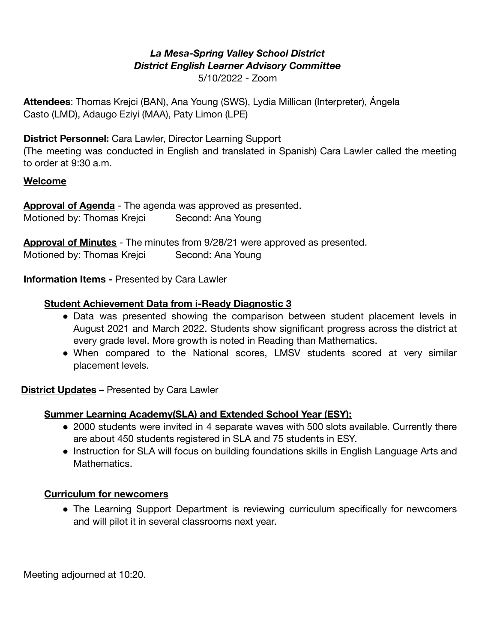#### *La Mesa-Spring Valley School District District English Learner Advisory Committee* 5/10/2022 - Zoom

**Attendees**: Thomas Krejci (BAN), Ana Young (SWS), Lydia Millican (Interpreter), Ángela Casto (LMD), Adaugo Eziyi (MAA), Paty Limon (LPE)

**District Personnel:** Cara Lawler, Director Learning Support

(The meeting was conducted in English and translated in Spanish) Cara Lawler called the meeting to order at 9:30 a.m.

### **Welcome**

**Approval of Agenda** - The agenda was approved as presented. Motioned by: Thomas Krejci Second: Ana Young

**Approval of Minutes** - The minutes from 9/28/21 were approved as presented. Motioned by: Thomas Krejci Second: Ana Young

**Information Items -** Presented by Cara Lawler

### **Student Achievement Data from i-Ready Diagnostic 3**

- Data was presented showing the comparison between student placement levels in August 2021 and March 2022. Students show significant progress across the district at every grade level. More growth is noted in Reading than Mathematics.
- When compared to the National scores, LMSV students scored at very similar placement levels.

**District Updates –** Presented by Cara Lawler

### **Summer Learning Academy(SLA) and Extended School Year (ESY):**

- 2000 students were invited in 4 separate waves with 500 slots available. Currently there are about 450 students registered in SLA and 75 students in ESY.
- Instruction for SLA will focus on building foundations skills in English Language Arts and Mathematics.

### **Curriculum for newcomers**

• The Learning Support Department is reviewing curriculum specifically for newcomers and will pilot it in several classrooms next year.

Meeting adjourned at 10:20.